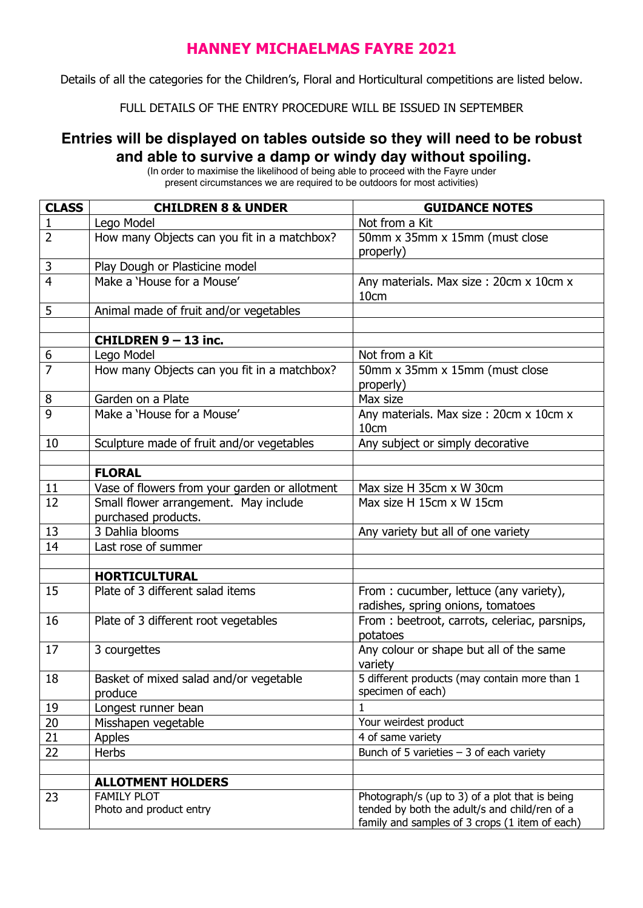## **HANNEY MICHAELMAS FAYRE 2021**

Details of all the categories for the Children's, Floral and Horticultural competitions are listed below.

FULL DETAILS OF THE ENTRY PROCEDURE WILL BE ISSUED IN SEPTEMBER

## **Entries will be displayed on tables outside so they will need to be robust and able to survive a damp or windy day without spoiling.**

| <b>CLASS</b>     | <b>CHILDREN 8 &amp; UNDER</b>                                | <b>GUIDANCE NOTES</b>                                                                                                                             |
|------------------|--------------------------------------------------------------|---------------------------------------------------------------------------------------------------------------------------------------------------|
| $\mathbf{1}$     | Lego Model                                                   | Not from a Kit                                                                                                                                    |
| $\overline{2}$   | How many Objects can you fit in a matchbox?                  | 50mm x 35mm x 15mm (must close<br>properly)                                                                                                       |
| 3                | Play Dough or Plasticine model                               |                                                                                                                                                   |
| $\overline{4}$   | Make a 'House for a Mouse'                                   | Any materials. Max size: 20cm x 10cm x<br>10cm                                                                                                    |
| 5                | Animal made of fruit and/or vegetables                       |                                                                                                                                                   |
|                  |                                                              |                                                                                                                                                   |
|                  | <b>CHILDREN 9 - 13 inc.</b>                                  |                                                                                                                                                   |
| $\boldsymbol{6}$ | Lego Model                                                   | Not from a Kit                                                                                                                                    |
| $\overline{7}$   | How many Objects can you fit in a matchbox?                  | 50mm x 35mm x 15mm (must close<br>properly)                                                                                                       |
| 8                | Garden on a Plate                                            | Max size                                                                                                                                          |
| 9                | Make a 'House for a Mouse'                                   | Any materials. Max size : 20cm x 10cm x<br>10cm                                                                                                   |
| 10               | Sculpture made of fruit and/or vegetables                    | Any subject or simply decorative                                                                                                                  |
|                  |                                                              |                                                                                                                                                   |
|                  | <b>FLORAL</b>                                                |                                                                                                                                                   |
| 11               | Vase of flowers from your garden or allotment                | Max size H 35cm x W 30cm                                                                                                                          |
| 12               | Small flower arrangement. May include<br>purchased products. | Max size H 15cm x W 15cm                                                                                                                          |
| 13               | 3 Dahlia blooms                                              | Any variety but all of one variety                                                                                                                |
| 14               | Last rose of summer                                          |                                                                                                                                                   |
|                  |                                                              |                                                                                                                                                   |
|                  | <b>HORTICULTURAL</b>                                         |                                                                                                                                                   |
| 15               | Plate of 3 different salad items                             | From: cucumber, lettuce (any variety),<br>radishes, spring onions, tomatoes                                                                       |
| 16               | Plate of 3 different root vegetables                         | From: beetroot, carrots, celeriac, parsnips,<br>potatoes                                                                                          |
| 17               | 3 courgettes                                                 | Any colour or shape but all of the same<br>variety                                                                                                |
| 18               | Basket of mixed salad and/or vegetable<br>produce            | 5 different products (may contain more than 1<br>specimen of each)                                                                                |
| 19               | Longest runner bean                                          | 1.                                                                                                                                                |
| 20               | Misshapen vegetable                                          | Your weirdest product                                                                                                                             |
| 21               | Apples                                                       | 4 of same variety                                                                                                                                 |
| 22               | Herbs                                                        | Bunch of 5 varieties $-3$ of each variety                                                                                                         |
|                  |                                                              |                                                                                                                                                   |
|                  | <b>ALLOTMENT HOLDERS</b>                                     |                                                                                                                                                   |
| 23               | <b>FAMILY PLOT</b><br>Photo and product entry                | Photograph/s (up to 3) of a plot that is being<br>tended by both the adult/s and child/ren of a<br>family and samples of 3 crops (1 item of each) |

(In order to maximise the likelihood of being able to proceed with the Fayre under present circumstances we are required to be outdoors for most activities)